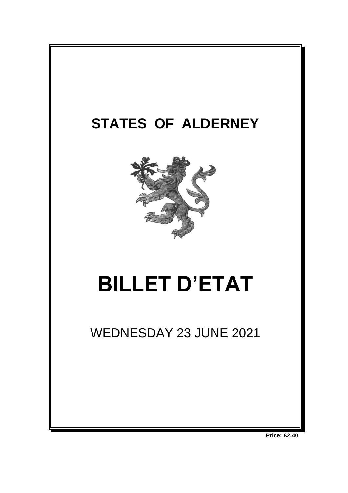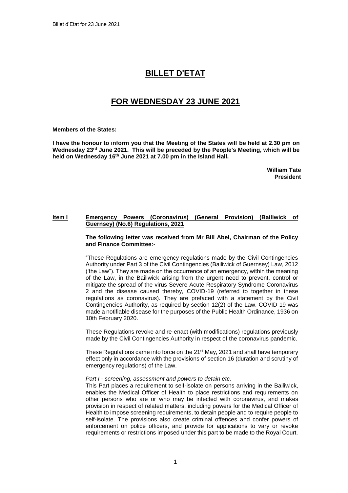# **BILLET D'ETAT**

# **FOR WEDNESDAY 23 JUNE 2021**

**Members of the States:**

**I have the honour to inform you that the Meeting of the States will be held at 2.30 pm on Wednesday 23rd June 2021. This will be preceded by the People's Meeting, which will be held on Wednesday 16 th June 2021 at 7.00 pm in the Island Hall.** 

> **William Tate President**

## **Item I Emergency Powers (Coronavirus) (General Provision) (Bailiwick of Guernsey) (No.6) Regulations, 2021**

**The following letter was received from Mr Bill Abel, Chairman of the Policy and Finance Committee:-**

"These Regulations are emergency regulations made by the Civil Contingencies Authority under Part 3 of the Civil Contingencies (Bailiwick of Guernsey) Law, 2012 ('the Law"). They are made on the occurrence of an emergency, within the meaning of the Law, in the Bailiwick arising from the urgent need to prevent, control or mitigate the spread of the virus Severe Acute Respiratory Syndrome Coronavirus 2 and the disease caused thereby, COVID-19 (referred to together in these regulations as coronavirus). They are prefaced with a statement by the Civil Contingencies Authority, as required by section 12(2) of the Law. COVID-19 was made a notifiable disease for the purposes of the Public Health Ordinance, 1936 on 10th February 2020.

These Regulations revoke and re-enact (with modifications) regulations previously made by the Civil Contingencies Authority in respect of the coronavirus pandemic.

These Regulations came into force on the 21<sup>st</sup> May, 2021 and shall have temporary effect only in accordance with the provisions of section 16 (duration and scrutiny of emergency regulations) of the Law.

#### *Part I - screening, assessment and powers to detain etc.*

This Part places a requirement to self-isolate on persons arriving in the Bailiwick, enables the Medical Officer of Health to place restrictions and requirements on other persons who are or who may be infected with coronavirus, and makes provision in respect of related matters, including powers for the Medical Officer of Health to impose screening requirements, to detain people and to require people to self-isolate. The provisions also create criminal offences and confer powers of enforcement on police officers, and provide for applications to vary or revoke requirements or restrictions imposed under this part to be made to the Royal Court.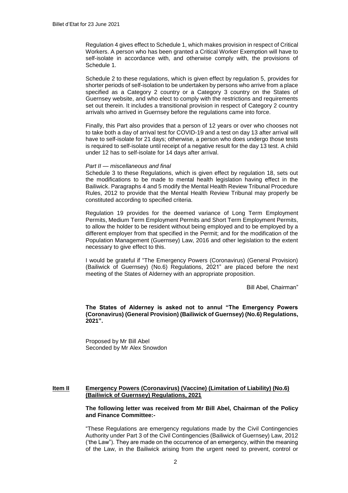Regulation 4 gives effect to Schedule 1, which makes provision in respect of Critical Workers. A person who has been granted a Critical Worker Exemption will have to self-isolate in accordance with, and otherwise comply with, the provisions of Schedule 1.

Schedule 2 to these regulations, which is given effect by regulation 5, provides for shorter periods of self-isolation to be undertaken by persons who arrive from a place specified as a Category 2 country or a Category 3 country on the States of Guernsey website, and who elect to comply with the restrictions and requirements set out therein. It includes a transitional provision in respect of Category 2 country arrivals who arrived in Guernsey before the regulations came into force.

Finally, this Part also provides that a person of 12 years or over who chooses not to take both a day of arrival test for COVID-19 and a test on day 13 after arrival will have to self-isolate for 21 days; otherwise, a person who does undergo those tests is required to self-isolate until receipt of a negative result for the day 13 test. A child under 12 has to self-isolate for 14 days after arrival.

#### *Part II — miscellaneous and final*

Schedule 3 to these Regulations, which is given effect by regulation 18, sets out the modifications to be made to mental health legislation having effect in the Bailiwick. Paragraphs 4 and 5 modify the Mental Health Review Tribunal Procedure Rules, 2012 to provide that the Mental Health Review Tribunal may properly be constituted according to specified criteria.

Regulation 19 provides for the deemed variance of Long Term Employment Permits, Medium Term Employment Permits and Short Term Employment Permits, to allow the holder to be resident without being employed and to be employed by a different employer from that specified in the Permit; and for the modification of the Population Management (Guernsey) Law, 2016 and other legislation to the extent necessary to give effect to this.

I would be grateful if "The Emergency Powers (Coronavirus) (General Provision) (Bailiwick of Guernsey) (No.6) Regulations, 2021" are placed before the next meeting of the States of Alderney with an appropriate proposition.

Bill Abel, Chairman"

**The States of Alderney is asked not to annul "The Emergency Powers (Coronavirus) (General Provision) (Bailiwick of Guernsey) (No.6) Regulations, 2021".**

Proposed by Mr Bill Abel Seconded by Mr Alex Snowdon

#### **Item II Emergency Powers (Coronavirus) (Vaccine) (Limitation of Liability) (No.6) (Bailiwick of Guernsey) Regulations, 2021**

#### **The following letter was received from Mr Bill Abel, Chairman of the Policy and Finance Committee:-**

"These Regulations are emergency regulations made by the Civil Contingencies Authority under Part 3 of the Civil Contingencies (Bailiwick of Guernsey) Law, 2012 ('the Law"). They are made on the occurrence of an emergency, within the meaning of the Law, in the Bailiwick arising from the urgent need to prevent, control or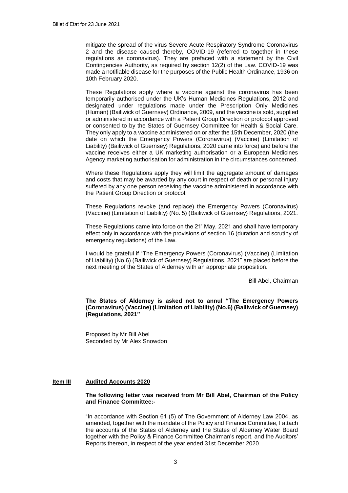mitigate the spread of the virus Severe Acute Respiratory Syndrome Coronavirus 2 and the disease caused thereby, COVID-19 (referred to together in these regulations as coronavirus). They are prefaced with a statement by the Civil Contingencies Authority, as required by section 12(2) of the Law. COVID-19 was made a notifiable disease for the purposes of the Public Health Ordinance, 1936 on 10th February 2020.

These Regulations apply where a vaccine against the coronavirus has been temporarily authorised under the UK's Human Medicines Regulations, 2012 and designated under regulations made under the Prescription Only Medicines (Human) (Bailiwick of Guernsey) Ordinance, 2009, and the vaccine is sold, supplied or administered in accordance with a Patient Group Direction or protocol approved or consented to by the States of Guernsey Committee for Health & Social Care. They only apply to a vaccine administered on or after the 15th December, 2020 (the date on which the Emergency Powers (Coronavirus) (Vaccine) (Limitation of Liability) (Bailiwick of Guernsey) Regulations, 2020 came into force) and before the vaccine receives either a UK marketing authorisation or a European Medicines Agency marketing authorisation for administration in the circumstances concerned.

Where these Regulations apply they will limit the aggregate amount of damages and costs that may be awarded by any court in respect of death or personal injury suffered by any one person receiving the vaccine administered in accordance with the Patient Group Direction or protocol.

These Regulations revoke (and replace) the Emergency Powers (Coronavirus) (Vaccine) (Limitation of Liability) (No. 5) (Bailiwick of Guernsey) Regulations, 2021.

These Regulations came into force on the 21' May, 2021 and shall have temporary effect only in accordance with the provisions of section 16 (duration and scrutiny of emergency regulations) of the Law.

I would be grateful if "The Emergency Powers (Coronavirus) (Vaccine) (Limitation of Liability) (No.6) (Bailiwick of Guernsey) Regulations, 2021" are placed before the next meeting of the States of Alderney with an appropriate proposition.

Bill Abel, Chairman

**The States of Alderney is asked not to annul "The Emergency Powers (Coronavirus) (Vaccine) (Limitation of Liability) (No.6) (Bailiwick of Guernsey) (Regulations, 2021"**

Proposed by Mr Bill Abel Seconded by Mr Alex Snowdon

### **Item III Audited Accounts 2020**

#### **The following letter was received from Mr Bill Abel, Chairman of the Policy and Finance Committee:-**

"In accordance with Section 61 (5) of The Government of Alderney Law 2004, as amended, together with the mandate of the Policy and Finance Committee, I attach the accounts of the States of Alderney and the States of Alderney Water Board together with the Policy & Finance Committee Chairman's report, and the Auditors' Reports thereon, in respect of the year ended 31st December 2020.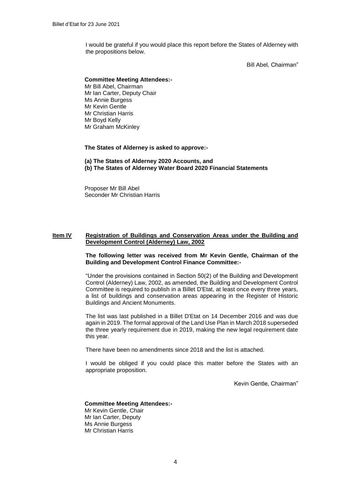I would be grateful if you would place this report before the States of Alderney with the propositions below.

Bill Abel*,* Chairman"

#### **Committee Meeting Attendees:-**

Mr Bill Abel, Chairman Mr Ian Carter, Deputy Chair Ms Annie Burgess Mr Kevin Gentle Mr Christian Harris Mr Boyd Kelly Mr Graham McKinley

**The States of Alderney is asked to approve:-**

### **(a) The States of Alderney 2020 Accounts, and (b) The States of Alderney Water Board 2020 Financial Statements**

Proposer Mr Bill Abel Seconder Mr Christian Harris

### **Item IV Registration of Buildings and Conservation Areas under the Building and Development Control (Alderney) Law, 2002**

#### **The following letter was received from Mr Kevin Gentle, Chairman of the Building and Development Control Finance Committee:-**

"Under the provisions contained in Section 50(2) of the Building and Development Control (Alderney) Law, 2002, as amended, the Building and Development Control Committee is required to publish in a Billet D'Etat, at least once every three years, a list of buildings and conservation areas appearing in the Register of Historic Buildings and Ancient Monuments.

The list was last published in a Billet D'Etat on 14 December 2016 and was due again in 2019. The formal approval of the Land Use Plan in March 2018 superseded the three yearly requirement due in 2019, making the new legal requirement date this year.

There have been no amendments since 2018 and the list is attached.

I would be obliged if you could place this matter before the States with an appropriate proposition.

Kevin Gentle, Chairman"

#### **Committee Meeting Attendees:-**

Mr Kevin Gentle, Chair Mr Ian Carter, Deputy Ms Annie Burgess Mr Christian Harris